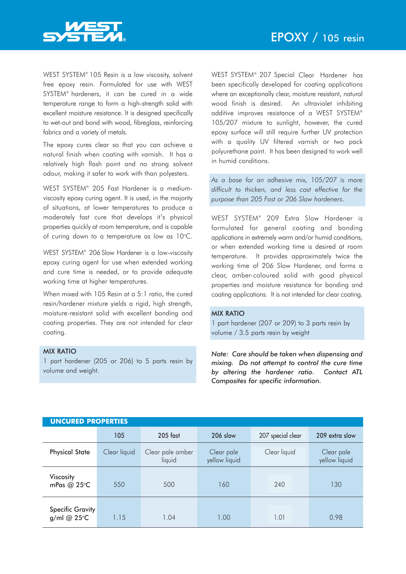

WEST SYSTEM® 105 Resin is a low viscosity, solvent free epoxy resin. Formulated for use with WEST SYSTEM® hardeners, it can be cured in a wide temperature range to form a high-strength solid with excellent moisture resistance. It is designed specifically to wet-out and bond with wood, fibreglass, reinforcing fabrics and a variety of metals.

The epoxy cures clear so that you can achieve a natural finish when coating with varnish. It has a relatively high flash point and no strong solvent odour, making it safer to work with than polyesters.

WEST SYSTEM® 205 Fast Hardener is a mediumviscosity epoxy curing agent. It is used, in the majority of situations, at lower temperatures to produce a moderately fast cure that develops it's physical properties quickly at room temperature, and is capable of curing down to a temperature as low as  $10^{\circ}$ C.

WEST SYSTEM® 206 Slow Hardener is a low-viscosity epoxy curing agent for use when extended working and cure time is needed, or to provide adequate working time at higher temperatures.

When mixed with 105 Resin at a 5:1 ratio, the cured resin/hardener mixture yields a rigid, high strength, moisture-resistant solid with excellent bonding and coating properties. They are not intended for clear coating.

## MIX RATIO

1 part hardener (205 or 206) to 5 parts resin by volume and weight.

WEST SYSTEM® 207 Special Clear Hardener has been specifically developed for coating applications where an exceptionally clear, moisture resistant, natural wood finish is desired. An ultraviolet inhibiting additive improves resistance of a WEST SYSTEM® 105/207 mixture to sunlight, however, the cured epoxy surface will still require further UV protection with a quality UV filtered varnish or two pack polyurethane paint. It has been designed to work well in humid conditions.

*As a base for an adhesive mix, 105/207 is more difficult to thicken, and less cost effective for the purpose than 205 Fast or 206 Slow hardeners*.

WEST SYSTEM® 209 Extra Slow Hardener is formulated for general coating and bonding applications in extremely warm and/or humid conditions, or when extended working time is desired at room temperature. It provides approximately twice the working time of 206 Slow Hardener, and forms a clear, amber-coloured solid with good physical properties and moisture resistance for bonding and coating applications. It is not intended for clear coating.

## MIX RATIO

1 part hardener (207 or 209) to 3 parts resin by volume / 3.5 parts resin by weight

*Note: Care should be taken when dispensing and mixing. Do not attempt to control the cure time by altering the hardener ratio. Contact ATL Composites for specific information.*

| <b>UNCURED PROPERTIES</b>       |              |                            |                             |                   |                             |  |  |  |
|---------------------------------|--------------|----------------------------|-----------------------------|-------------------|-----------------------------|--|--|--|
|                                 | 105          | $205$ fast                 | 206 slow                    | 207 special clear | 209 extra slow              |  |  |  |
| <b>Physical State</b>           | Clear liquid | Clear pale amber<br>liquid | Clear pale<br>yellow liquid | Clear liquid      | Clear pale<br>yellow liquid |  |  |  |
| <b>Viscosity</b><br>mPas @ 25°C | 550          | 500                        | 160                         | 240               | 130                         |  |  |  |
| Specific Gravity<br>g/ml @ 25°C | 1.15         | 1.04                       | 1.00                        | 1.01              | 0.98                        |  |  |  |

### **UNCURED PROPERTIES**